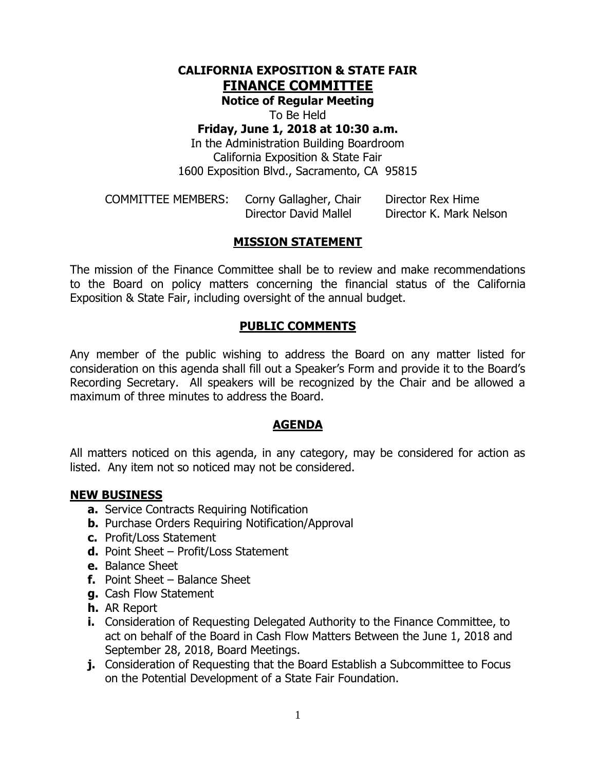# **CALIFORNIA EXPOSITION & STATE FAIR FINANCE COMMITTEE**

**Notice of Regular Meeting**

To Be Held

# **Friday, June 1, 2018 at 10:30 a.m.**

In the Administration Building Boardroom California Exposition & State Fair 1600 Exposition Blvd., Sacramento, CA 95815

| <b>COMMITTEE MEMBERS:</b> | Corny Gallagher, Chair | Director Rex Hime       |
|---------------------------|------------------------|-------------------------|
|                           | Director David Mallel  | Director K. Mark Nelson |

# **MISSION STATEMENT**

The mission of the Finance Committee shall be to review and make recommendations to the Board on policy matters concerning the financial status of the California Exposition & State Fair, including oversight of the annual budget.

## **PUBLIC COMMENTS**

Any member of the public wishing to address the Board on any matter listed for consideration on this agenda shall fill out a Speaker's Form and provide it to the Board's Recording Secretary. All speakers will be recognized by the Chair and be allowed a maximum of three minutes to address the Board.

### **AGENDA**

All matters noticed on this agenda, in any category, may be considered for action as listed. Any item not so noticed may not be considered.

### **NEW BUSINESS**

- **a.** Service Contracts Requiring Notification
- **b.** Purchase Orders Requiring Notification/Approval
- **c.** Profit/Loss Statement
- **d.** Point Sheet Profit/Loss Statement
- **e.** Balance Sheet
- **f.** Point Sheet Balance Sheet
- **g.** Cash Flow Statement
- **h.** AR Report
- **i.** Consideration of Requesting Delegated Authority to the Finance Committee, to act on behalf of the Board in Cash Flow Matters Between the June 1, 2018 and September 28, 2018, Board Meetings.
- **j.** Consideration of Requesting that the Board Establish a Subcommittee to Focus on the Potential Development of a State Fair Foundation.